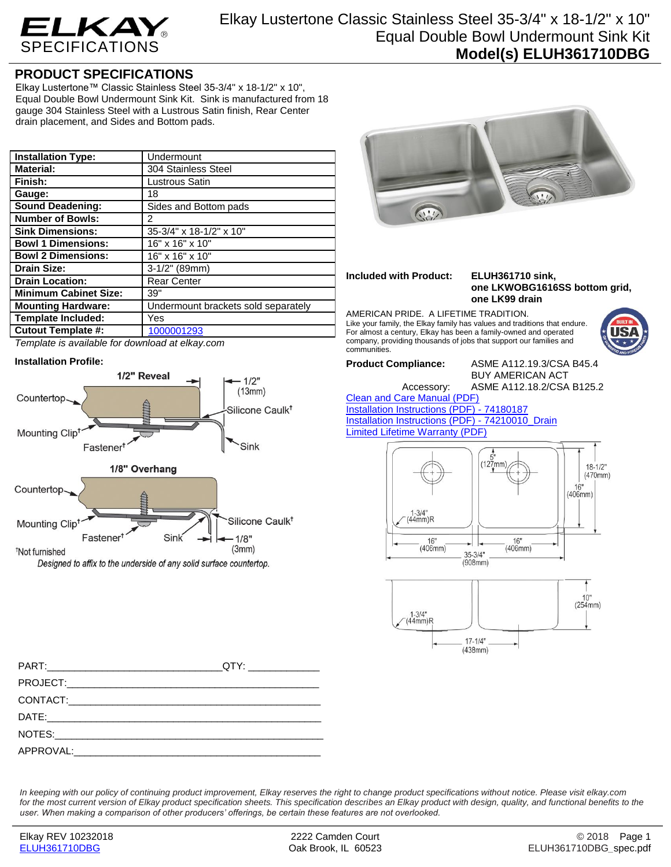

## **PRODUCT SPECIFICATIONS**

Elkay Lustertone™ Classic Stainless Steel 35-3/4" x 18-1/2" x 10", Equal Double Bowl Undermount Sink Kit. Sink is manufactured from 18 gauge 304 Stainless Steel with a Lustrous Satin finish, Rear Center drain placement, and Sides and Bottom pads.

| <b>Installation Type:</b>    | Undermount                          |
|------------------------------|-------------------------------------|
| <b>Material:</b>             | 304 Stainless Steel                 |
| Finish:                      | Lustrous Satin                      |
| Gauge:                       | 18                                  |
| <b>Sound Deadening:</b>      | Sides and Bottom pads               |
| <b>Number of Bowls:</b>      | 2                                   |
| <b>Sink Dimensions:</b>      | 35-3/4" x 18-1/2" x 10"             |
| <b>Bowl 1 Dimensions:</b>    | $16"$ x 16" x 10"                   |
| <b>Bowl 2 Dimensions:</b>    | 16" x 16" x 10"                     |
| <b>Drain Size:</b>           | $3-1/2"$ (89mm)                     |
| <b>Drain Location:</b>       | <b>Rear Center</b>                  |
| <b>Minimum Cabinet Size:</b> | 39"                                 |
| <b>Mounting Hardware:</b>    | Undermount brackets sold separately |
| Template Included:           | Yes                                 |
| <b>Cutout Template #:</b>    | 1000001293                          |



## **Installation Profile:**



Designed to affix to the underside of any solid surface countertop.

PART:\_\_\_\_\_\_\_\_\_\_\_\_\_\_\_\_\_\_\_\_\_\_\_\_\_\_\_\_\_\_\_\_QTY: \_\_\_\_\_\_\_\_\_\_\_\_\_

DATE:\_\_\_\_\_\_\_\_\_\_\_\_\_\_\_\_\_\_\_\_\_\_\_\_\_\_\_\_\_\_\_\_\_\_\_\_\_\_\_\_\_\_\_\_\_\_\_\_\_\_ NOTES:

CONTACT:\_\_\_\_\_\_\_\_\_\_\_\_\_\_\_\_\_\_\_\_\_\_\_\_\_\_\_\_\_\_\_\_\_\_\_\_\_\_\_\_\_\_\_\_\_\_



*In keeping with our policy of continuing product improvement, Elkay reserves the right to change product specifications without notice. Please visit elkay.com for the most current version of Elkay product specification sheets. This specification describes an Elkay product with design, quality, and functional benefits to the user. When making a comparison of other producers' offerings, be certain these features are not overlooked.*

PROJECT:

APPROVAL: